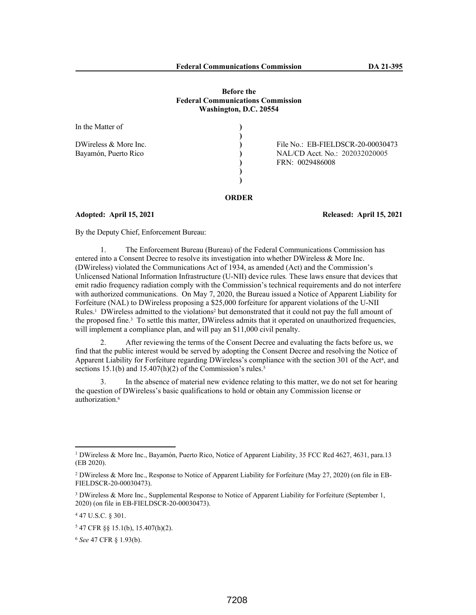### **Before the Federal Communications Commission Washington, D.C. 20554**

| In the Matter of                                |                                                                                        |
|-------------------------------------------------|----------------------------------------------------------------------------------------|
| DWireless $&$ More Inc.<br>Bayamón, Puerto Rico | File No.: EB-FIELDSCR-20-00030473<br>NAL/CD Acct. No.: 202032020005<br>FRN: 0029486008 |

# **ORDER**

#### **Adopted: April 15, 2021 Released: April 15, 2021**

By the Deputy Chief, Enforcement Bureau:

1. The Enforcement Bureau (Bureau) of the Federal Communications Commission has entered into a Consent Decree to resolve its investigation into whether DWireless & More Inc. (DWireless) violated the Communications Act of 1934, as amended (Act) and the Commission's Unlicensed National Information Infrastructure (U-NII) device rules*.* These laws ensure that devices that emit radio frequency radiation comply with the Commission's technical requirements and do not interfere with authorized communications. On May 7, 2020, the Bureau issued a Notice of Apparent Liability for Forfeiture (NAL) to DWireless proposing a \$25,000 forfeiture for apparent violations of the U-NII Rules.<sup>1</sup> DWireless admitted to the violations<sup>2</sup> but demonstrated that it could not pay the full amount of the proposed fine.<sup>3</sup> To settle this matter, DWireless admits that it operated on unauthorized frequencies, will implement a compliance plan, and will pay an \$11,000 civil penalty.

2. After reviewing the terms of the Consent Decree and evaluating the facts before us, we find that the public interest would be served by adopting the Consent Decree and resolving the Notice of Apparent Liability for Forfeiture regarding DWireless's compliance with the section 301 of the Act<sup>4</sup>, and sections 15.1(b) and 15.407(h)(2) of the Commission's rules.<sup>5</sup>

3. In the absence of material new evidence relating to this matter, we do not set for hearing the question of DWireless's basic qualifications to hold or obtain any Commission license or authorization.<sup>6</sup>

<sup>1</sup> DWireless & More Inc., Bayamón, Puerto Rico, Notice of Apparent Liability, 35 FCC Rcd 4627, 4631, para.13 (EB 2020).

<sup>2</sup> DWireless & More Inc., Response to Notice of Apparent Liability for Forfeiture (May 27, 2020) (on file in EB-FIELDSCR-20-00030473).

<sup>&</sup>lt;sup>3</sup> DWireless & More Inc., Supplemental Response to Notice of Apparent Liability for Forfeiture (September 1, 2020) (on file in EB-FIELDSCR-20-00030473).

<sup>4</sup> 47 U.S.C. § 301.

<sup>5</sup> 47 CFR §§ 15.1(b), 15.407(h)(2).

<sup>6</sup> *See* 47 CFR § 1.93(b).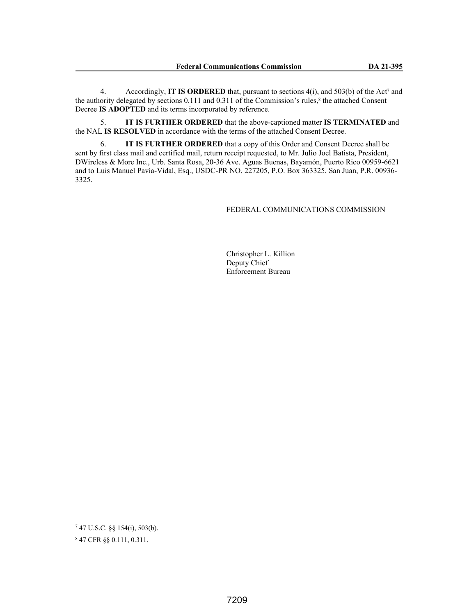4. Accordingly, **IT IS ORDERED** that, pursuant to sections 4(i), and 503(b) of the Act<sup>7</sup> and the authority delegated by sections  $0.111$  and  $0.311$  of the Commission's rules,<sup>8</sup> the attached Consent Decree **IS ADOPTED** and its terms incorporated by reference.

5. **IT IS FURTHER ORDERED** that the above-captioned matter **IS TERMINATED** and the NAL **IS RESOLVED** in accordance with the terms of the attached Consent Decree.

6. **IT IS FURTHER ORDERED** that a copy of this Order and Consent Decree shall be sent by first class mail and certified mail, return receipt requested, to Mr. Julio Joel Batista, President, DWireless & More Inc., Urb. Santa Rosa, 20-36 Ave. Aguas Buenas, Bayamón, Puerto Rico 00959-6621 and to Luis Manuel Pavía-Vidal, Esq., USDC-PR NO. 227205, P.O. Box 363325, San Juan, P.R. 00936- 3325.

## FEDERAL COMMUNICATIONS COMMISSION

Christopher L. Killion Deputy Chief Enforcement Bureau

<sup>7</sup> 47 U.S.C. §§ 154(i), 503(b).

<sup>8</sup> 47 CFR §§ 0.111, 0.311.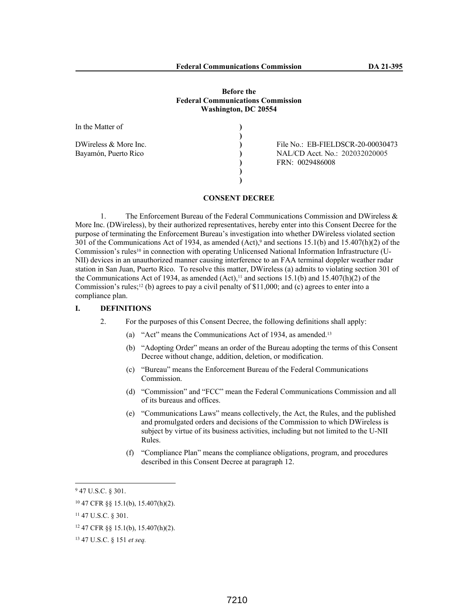### **Before the Federal Communications Commission Washington, DC 20554**

| In the Matter of                                |                                                                                        |
|-------------------------------------------------|----------------------------------------------------------------------------------------|
| DWireless $&$ More Inc.<br>Bayamón, Puerto Rico | File No.: EB-FIELDSCR-20-00030473<br>NAL/CD Acct. No.: 202032020005<br>FRN: 0029486008 |
|                                                 |                                                                                        |

**CONSENT DECREE**

1. The Enforcement Bureau of the Federal Communications Commission and DWireless & More Inc. (DWireless), by their authorized representatives, hereby enter into this Consent Decree for the purpose of terminating the Enforcement Bureau's investigation into whether DWireless violated section 301 of the Communications Act of 1934, as amended  $(Act)$ ,<sup>9</sup> and sections 15.1(b) and 15.407(h)(2) of the Commission's rules<sup>10</sup> in connection with operating Unlicensed National Information Infrastructure (U-NII) devices in an unauthorized manner causing interference to an FAA terminal doppler weather radar station in San Juan, Puerto Rico. To resolve this matter, DWireless (a) admits to violating section 301 of the Communications Act of 1934, as amended  $(Act)$ ,<sup>11</sup> and sections 15.1(b) and 15.407(h)(2) of the Commission's rules;<sup>12</sup> (b) agrees to pay a civil penalty of \$11,000; and (c) agrees to enter into a compliance plan.

## **I. DEFINITIONS**

- 2. For the purposes of this Consent Decree, the following definitions shall apply:
	- (a) "Act" means the Communications Act of 1934, as amended.<sup>13</sup>
	- (b) "Adopting Order" means an order of the Bureau adopting the terms of this Consent Decree without change, addition, deletion, or modification.
	- (c) "Bureau" means the Enforcement Bureau of the Federal Communications Commission.
	- (d) "Commission" and "FCC" mean the Federal Communications Commission and all of its bureaus and offices.
	- (e) "Communications Laws" means collectively, the Act, the Rules, and the published and promulgated orders and decisions of the Commission to which DWireless is subject by virtue of its business activities, including but not limited to the U-NII Rules.
	- (f) "Compliance Plan" means the compliance obligations, program, and procedures described in this Consent Decree at paragraph 12.

 $947$  U.S.C. § 301.

<sup>10</sup> 47 CFR §§ 15.1(b), 15.407(h)(2).

<sup>11</sup> 47 U.S.C. § 301.

 $12$  47 CFR  $\S$ § 15.1(b), 15.407(h)(2).

<sup>13</sup> 47 U.S.C. § 151 *et seq.*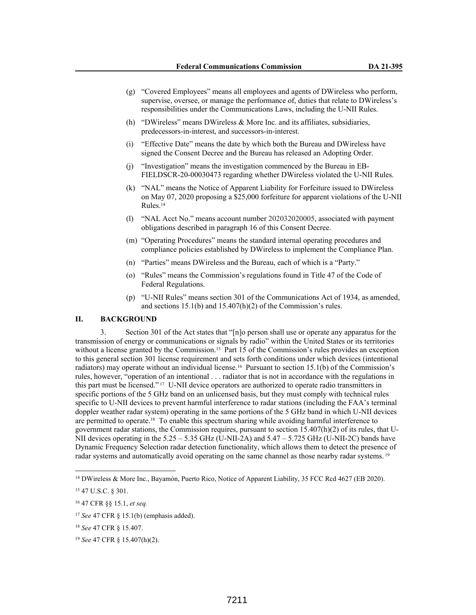- (g) "Covered Employees" means all employees and agents of DWireless who perform, supervise, oversee, or manage the performance of, duties that relate to DWireless's responsibilities under the Communications Laws, including the U-NII Rules.
- (h) "DWireless" means DWireless & More Inc. and its affiliates, subsidiaries, predecessors-in-interest, and successors-in-interest.
- (i) "Effective Date" means the date by which both the Bureau and DWireless have signed the Consent Decree and the Bureau has released an Adopting Order.
- (j) "Investigation" means the investigation commenced by the Bureau in EB-FIELDSCR-20-00030473 regarding whether DWireless violated the U-NII Rules.
- (k) "NAL" means the Notice of Apparent Liability for Forfeiture issued to DWireless on May 07, 2020 proposing a \$25,000 forfeiture for apparent violations of the U-NII Rules.<sup>14</sup>
- (l) "NAL Acct No." means account number 202032020005, associated with payment obligations described in paragraph 16 of this Consent Decree.
- (m) "Operating Procedures" means the standard internal operating procedures and compliance policies established by DWireless to implement the Compliance Plan.
- (n) "Parties" means DWireless and the Bureau, each of which is a "Party."
- (o) "Rules" means the Commission's regulations found in Title 47 of the Code of Federal Regulations.
- (p) "U-NII Rules" means section 301 of the Communications Act of 1934, as amended, and sections 15.1(b) and 15.407(h)(2) of the Commission's rules.

## **II. BACKGROUND**

3. Section 301 of the Act states that "[n]o person shall use or operate any apparatus for the transmission of energy or communications or signals by radio" within the United States or its territories without a license granted by the Commission.<sup>15</sup> Part 15 of the Commission's rules provides an exception to this general section 301 license requirement and sets forth conditions under which devices (intentional radiators) may operate without an individual license.<sup>16</sup> Pursuant to section 15.1(b) of the Commission's rules, however, "operation of an intentional . . . radiator that is not in accordance with the regulations in this part must be licensed." 17 U-NII device operators are authorized to operate radio transmitters in specific portions of the 5 GHz band on an unlicensed basis, but they must comply with technical rules specific to U-NII devices to prevent harmful interference to radar stations (including the FAA's terminal doppler weather radar system) operating in the same portions of the 5 GHz band in which U-NII devices are permitted to operate.18 To enable this spectrum sharing while avoiding harmful interference to government radar stations, the Commission requires, pursuant to section 15.407(h)(2) of its rules, that U-NII devices operating in the 5.25 – 5.35 GHz (U-NII-2A) and 5.47 – 5.725 GHz (U-NII-2C) bands have Dynamic Frequency Selection radar detection functionality, which allows them to detect the presence of radar systems and automatically avoid operating on the same channel as those nearby radar systems.<sup>19</sup>

<sup>&</sup>lt;sup>14</sup> DWireless & More Inc., Bayamón, Puerto Rico, Notice of Apparent Liability, 35 FCC Rcd 4627 (EB 2020).

<sup>15</sup> 47 U.S.C. § 301.

<sup>16</sup> 47 CFR §§ 15.1, *et seq.*

<sup>17</sup> *See* 47 CFR § 15.1(b) (emphasis added).

<sup>18</sup> *See* 47 CFR § 15.407.

<sup>19</sup> *See* 47 CFR § 15.407(h)(2).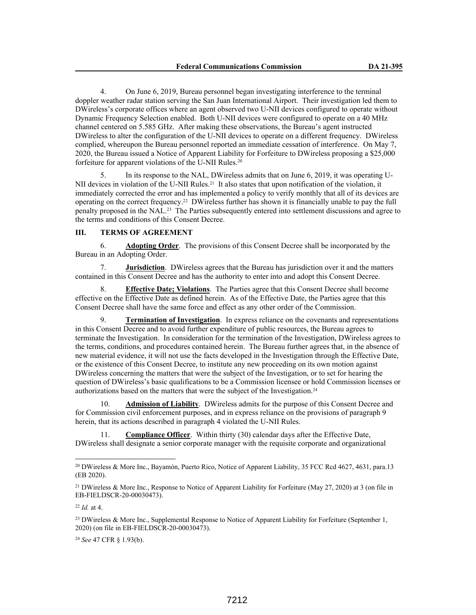4. On June 6, 2019, Bureau personnel began investigating interference to the terminal doppler weather radar station serving the San Juan International Airport. Their investigation led them to DWireless's corporate offices where an agent observed two U-NII devices configured to operate without Dynamic Frequency Selection enabled. Both U-NII devices were configured to operate on a 40 MHz channel centered on 5.585 GHz. After making these observations, the Bureau's agent instructed DWireless to alter the configuration of the U-NII devices to operate on a different frequency. DWireless complied, whereupon the Bureau personnel reported an immediate cessation of interference. On May 7, 2020, the Bureau issued a Notice of Apparent Liability for Forfeiture to DWireless proposing a \$25,000 forfeiture for apparent violations of the U-NII Rules.<sup>20</sup>

5. In its response to the NAL, DWireless admits that on June 6, 2019, it was operating U-NII devices in violation of the U-NII Rules.<sup>21</sup> It also states that upon notification of the violation, it immediately corrected the error and has implemented a policy to verify monthly that all of its devices are operating on the correct frequency.22 DWireless further has shown it is financially unable to pay the full penalty proposed in the NAL.23 The Parties subsequently entered into settlement discussions and agree to the terms and conditions of this Consent Decree.

# **III. TERMS OF AGREEMENT**

6. **Adopting Order**. The provisions of this Consent Decree shall be incorporated by the Bureau in an Adopting Order.

7. **Jurisdiction**. DWireless agrees that the Bureau has jurisdiction over it and the matters contained in this Consent Decree and has the authority to enter into and adopt this Consent Decree.

8. **Effective Date; Violations**. The Parties agree that this Consent Decree shall become effective on the Effective Date as defined herein. As of the Effective Date, the Parties agree that this Consent Decree shall have the same force and effect as any other order of the Commission.

**Termination of Investigation**. In express reliance on the covenants and representations in this Consent Decree and to avoid further expenditure of public resources, the Bureau agrees to terminate the Investigation. In consideration for the termination of the Investigation, DWireless agrees to the terms, conditions, and procedures contained herein. The Bureau further agrees that, in the absence of new material evidence, it will not use the facts developed in the Investigation through the Effective Date, or the existence of this Consent Decree, to institute any new proceeding on its own motion against DWireless concerning the matters that were the subject of the Investigation, or to set for hearing the question of DWireless's basic qualifications to be a Commission licensee or hold Commission licenses or authorizations based on the matters that were the subject of the Investigation.<sup>24</sup>

10. **Admission of Liability**. DWireless admits for the purpose of this Consent Decree and for Commission civil enforcement purposes, and in express reliance on the provisions of paragraph 9 herein, that its actions described in paragraph 4 violated the U-NII Rules.

11. **Compliance Officer**. Within thirty (30) calendar days after the Effective Date, DWireless shall designate a senior corporate manager with the requisite corporate and organizational

<sup>24</sup> *See* 47 CFR § 1.93(b).

<sup>20</sup> DWireless & More Inc., Bayamón, Puerto Rico, Notice of Apparent Liability, 35 FCC Rcd 4627, 4631, para.13 (EB 2020).

<sup>21</sup> DWireless & More Inc., Response to Notice of Apparent Liability for Forfeiture (May 27, 2020) at 3 (on file in EB-FIELDSCR-20-00030473).

<sup>22</sup> *Id.* at 4.

<sup>&</sup>lt;sup>23</sup> DWireless & More Inc., Supplemental Response to Notice of Apparent Liability for Forfeiture (September 1, 2020) (on file in EB-FIELDSCR-20-00030473).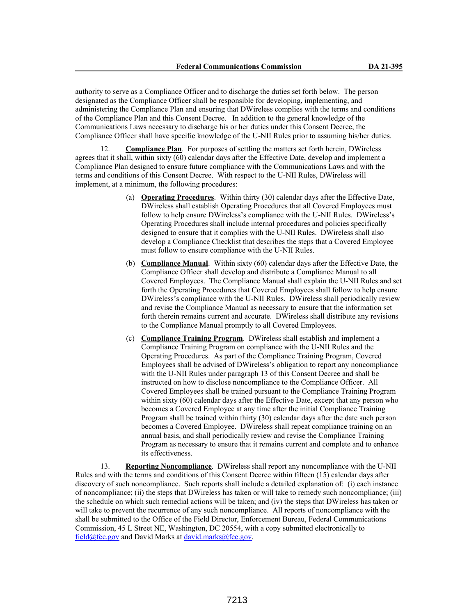authority to serve as a Compliance Officer and to discharge the duties set forth below. The person designated as the Compliance Officer shall be responsible for developing, implementing, and administering the Compliance Plan and ensuring that DWireless complies with the terms and conditions of the Compliance Plan and this Consent Decree. In addition to the general knowledge of the Communications Laws necessary to discharge his or her duties under this Consent Decree, the Compliance Officer shall have specific knowledge of the U-NII Rules prior to assuming his/her duties.

12. **Compliance Plan**. For purposes of settling the matters set forth herein, DWireless agrees that it shall, within sixty (60) calendar days after the Effective Date, develop and implement a Compliance Plan designed to ensure future compliance with the Communications Laws and with the terms and conditions of this Consent Decree. With respect to the U-NII Rules, DWireless will implement, at a minimum, the following procedures:

- (a) **Operating Procedures**. Within thirty (30) calendar days after the Effective Date, DWireless shall establish Operating Procedures that all Covered Employees must follow to help ensure DWireless's compliance with the U-NII Rules. DWireless's Operating Procedures shall include internal procedures and policies specifically designed to ensure that it complies with the U-NII Rules. DWireless shall also develop a Compliance Checklist that describes the steps that a Covered Employee must follow to ensure compliance with the U-NII Rules.
- (b) **Compliance Manual**. Within sixty (60) calendar days after the Effective Date, the Compliance Officer shall develop and distribute a Compliance Manual to all Covered Employees. The Compliance Manual shall explain the U-NII Rules and set forth the Operating Procedures that Covered Employees shall follow to help ensure DWireless's compliance with the U-NII Rules. DWireless shall periodically review and revise the Compliance Manual as necessary to ensure that the information set forth therein remains current and accurate. DWireless shall distribute any revisions to the Compliance Manual promptly to all Covered Employees.
- (c) **Compliance Training Program**. DWireless shall establish and implement a Compliance Training Program on compliance with the U-NII Rules and the Operating Procedures. As part of the Compliance Training Program, Covered Employees shall be advised of DWireless's obligation to report any noncompliance with the U-NII Rules under paragraph 13 of this Consent Decree and shall be instructed on how to disclose noncompliance to the Compliance Officer. All Covered Employees shall be trained pursuant to the Compliance Training Program within sixty (60) calendar days after the Effective Date, except that any person who becomes a Covered Employee at any time after the initial Compliance Training Program shall be trained within thirty (30) calendar days after the date such person becomes a Covered Employee. DWireless shall repeat compliance training on an annual basis, and shall periodically review and revise the Compliance Training Program as necessary to ensure that it remains current and complete and to enhance its effectiveness.

13. **Reporting Noncompliance**. DWireless shall report any noncompliance with the U-NII Rules and with the terms and conditions of this Consent Decree within fifteen (15) calendar days after discovery of such noncompliance. Such reports shall include a detailed explanation of: (i) each instance of noncompliance; (ii) the steps that DWireless has taken or will take to remedy such noncompliance; (iii) the schedule on which such remedial actions will be taken; and (iv) the steps that DWireless has taken or will take to prevent the recurrence of any such noncompliance. All reports of noncompliance with the shall be submitted to the Office of the Field Director, Enforcement Bureau, Federal Communications Commission, 45 L Street NE, Washington, DC 20554, with a copy submitted electronically to field@fcc.gov and David Marks at david.marks@fcc.gov.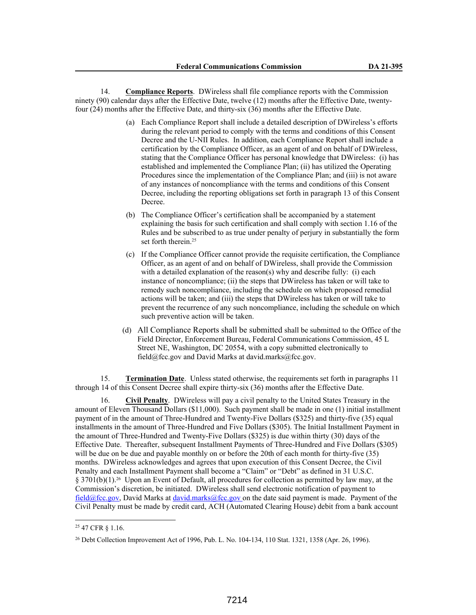14. **Compliance Reports**. DWireless shall file compliance reports with the Commission ninety (90) calendar days after the Effective Date, twelve (12) months after the Effective Date, twentyfour (24) months after the Effective Date, and thirty-six (36) months after the Effective Date.

- (a) Each Compliance Report shall include a detailed description of DWireless's efforts during the relevant period to comply with the terms and conditions of this Consent Decree and the U-NII Rules. In addition, each Compliance Report shall include a certification by the Compliance Officer, as an agent of and on behalf of DWireless, stating that the Compliance Officer has personal knowledge that DWireless: (i) has established and implemented the Compliance Plan; (ii) has utilized the Operating Procedures since the implementation of the Compliance Plan; and (iii) is not aware of any instances of noncompliance with the terms and conditions of this Consent Decree, including the reporting obligations set forth in paragraph 13 of this Consent Decree.
- (b) The Compliance Officer's certification shall be accompanied by a statement explaining the basis for such certification and shall comply with section 1.16 of the Rules and be subscribed to as true under penalty of perjury in substantially the form set forth therein.<sup>25</sup>
- (c) If the Compliance Officer cannot provide the requisite certification, the Compliance Officer, as an agent of and on behalf of DWireless, shall provide the Commission with a detailed explanation of the reason(s) why and describe fully: (i) each instance of noncompliance; (ii) the steps that DWireless has taken or will take to remedy such noncompliance, including the schedule on which proposed remedial actions will be taken; and (iii) the steps that DWireless has taken or will take to prevent the recurrence of any such noncompliance, including the schedule on which such preventive action will be taken.
- (d) All Compliance Reports shall be submitted shall be submitted to the Office of the Field Director, Enforcement Bureau, Federal Communications Commission, 45 L Street NE, Washington, DC 20554, with a copy submitted electronically to field@fcc.gov and David Marks at david.marks@fcc.gov.

15. **Termination Date**. Unless stated otherwise, the requirements set forth in paragraphs 11 through 14 of this Consent Decree shall expire thirty-six (36) months after the Effective Date.

16. **Civil Penalty**. DWireless will pay a civil penalty to the United States Treasury in the amount of Eleven Thousand Dollars (\$11,000). Such payment shall be made in one (1) initial installment payment of in the amount of Three-Hundred and Twenty-Five Dollars (\$325) and thirty-five (35) equal installments in the amount of Three-Hundred and Five Dollars (\$305). The Initial Installment Payment in the amount of Three-Hundred and Twenty-Five Dollars (\$325) is due within thirty (30) days of the Effective Date. Thereafter, subsequent Installment Payments of Three-Hundred and Five Dollars (\$305) will be due on be due and payable monthly on or before the 20th of each month for thirty-five (35) months. DWireless acknowledges and agrees that upon execution of this Consent Decree, the Civil Penalty and each Installment Payment shall become a "Claim" or "Debt" as defined in 31 U.S.C. § 3701(b)(1).<sup>26</sup> Upon an Event of Default, all procedures for collection as permitted by law may, at the Commission's discretion, be initiated. DWireless shall send electronic notification of payment to field@fcc.gov, David Marks at david.marks@fcc.gov on the date said payment is made. Payment of the Civil Penalty must be made by credit card, ACH (Automated Clearing House) debit from a bank account

<sup>25</sup> 47 CFR § 1.16.

<sup>26</sup> Debt Collection Improvement Act of 1996, Pub. L. No. 104-134, 110 Stat. 1321, 1358 (Apr. 26, 1996).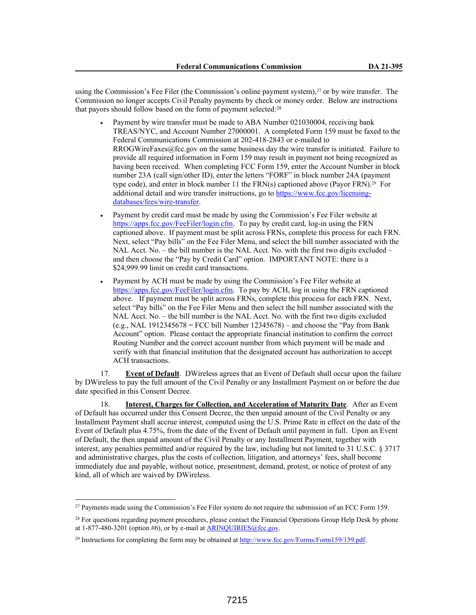using the Commission's Fee Filer (the Commission's online payment system),27 or by wire transfer. The Commission no longer accepts Civil Penalty payments by check or money order. Below are instructions that payors should follow based on the form of payment selected:<sup>28</sup>

- Payment by wire transfer must be made to ABA Number 021030004, receiving bank TREAS/NYC, and Account Number 27000001. A completed Form 159 must be faxed to the Federal Communications Commission at 202-418-2843 or e-mailed to RROGWireFaxes@fcc.gov on the same business day the wire transfer is initiated. Failure to provide all required information in Form 159 may result in payment not being recognized as having been received. When completing FCC Form 159, enter the Account Number in block number 23A (call sign/other ID), enter the letters "FORF" in block number 24A (payment type code), and enter in block number 11 the FRN(s) captioned above (Payor FRN).<sup>29</sup> For additional detail and wire transfer instructions, go to https://www.fcc.gov/licensingdatabases/fees/wire-transfer.
- Payment by credit card must be made by using the Commission's Fee Filer website at https://apps.fcc.gov/FeeFiler/login.cfm. To pay by credit card, log-in using the FRN captioned above. If payment must be split across FRNs, complete this process for each FRN. Next, select "Pay bills" on the Fee Filer Menu, and select the bill number associated with the NAL Acct. No. – the bill number is the NAL Acct. No. with the first two digits excluded – and then choose the "Pay by Credit Card" option. IMPORTANT NOTE: there is a \$24,999.99 limit on credit card transactions.
- Payment by ACH must be made by using the Commission's Fee Filer website at https://apps.fcc.gov/FeeFiler/login.cfm. To pay by ACH, log in using the FRN captioned above. If payment must be split across FRNs, complete this process for each FRN. Next, select "Pay bills" on the Fee Filer Menu and then select the bill number associated with the NAL Acct. No. – the bill number is the NAL Acct. No. with the first two digits excluded  $(e.g., NAL 1912345678 = FCC bill Number 12345678)$  – and choose the "Pay from Bank" Account" option. Please contact the appropriate financial institution to confirm the correct Routing Number and the correct account number from which payment will be made and verify with that financial institution that the designated account has authorization to accept ACH transactions.

17. **Event of Default**. DWireless agrees that an Event of Default shall occur upon the failure by DWireless to pay the full amount of the Civil Penalty or any Installment Payment on or before the due date specified in this Consent Decree.

18. **Interest, Charges for Collection, and Acceleration of Maturity Date**. After an Event of Default has occurred under this Consent Decree, the then unpaid amount of the Civil Penalty or any Installment Payment shall accrue interest, computed using the U.S. Prime Rate in effect on the date of the Event of Default plus 4.75%, from the date of the Event of Default until payment in full. Upon an Event of Default, the then unpaid amount of the Civil Penalty or any Installment Payment, together with interest, any penalties permitted and/or required by the law, including but not limited to 31 U.S.C. § 3717 and administrative charges, plus the costs of collection, litigation, and attorneys' fees, shall become immediately due and payable, without notice, presentment, demand, protest, or notice of protest of any kind, all of which are waived by DWireless.

<sup>27</sup> Payments made using the Commission's Fee Filer system do not require the submission of an FCC Form 159.

<sup>&</sup>lt;sup>28</sup> For questions regarding payment procedures, please contact the Financial Operations Group Help Desk by phone at  $1-877-480-3201$  (option #6), or by e-mail at ARINQUIRIES@fcc.gov.

<sup>&</sup>lt;sup>29</sup> Instructions for completing the form may be obtained at http://www.fcc.gov/Forms/Form159/159.pdf.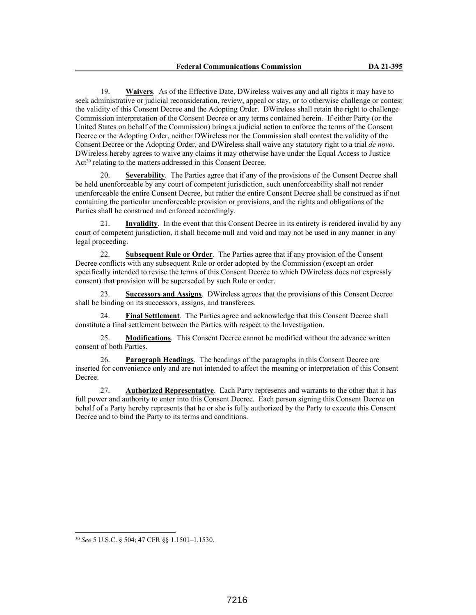19. **Waivers**. As of the Effective Date, DWireless waives any and all rights it may have to seek administrative or judicial reconsideration, review, appeal or stay, or to otherwise challenge or contest the validity of this Consent Decree and the Adopting Order. DWireless shall retain the right to challenge Commission interpretation of the Consent Decree or any terms contained herein. If either Party (or the United States on behalf of the Commission) brings a judicial action to enforce the terms of the Consent Decree or the Adopting Order, neither DWireless nor the Commission shall contest the validity of the Consent Decree or the Adopting Order, and DWireless shall waive any statutory right to a trial *de novo*. DWireless hereby agrees to waive any claims it may otherwise have under the Equal Access to Justice Act<sup>30</sup> relating to the matters addressed in this Consent Decree.

20. **Severability**. The Parties agree that if any of the provisions of the Consent Decree shall be held unenforceable by any court of competent jurisdiction, such unenforceability shall not render unenforceable the entire Consent Decree, but rather the entire Consent Decree shall be construed as if not containing the particular unenforceable provision or provisions, and the rights and obligations of the Parties shall be construed and enforced accordingly.

21. **Invalidity**. In the event that this Consent Decree in its entirety is rendered invalid by any court of competent jurisdiction, it shall become null and void and may not be used in any manner in any legal proceeding.

22. **Subsequent Rule or Order**. The Parties agree that if any provision of the Consent Decree conflicts with any subsequent Rule or order adopted by the Commission (except an order specifically intended to revise the terms of this Consent Decree to which DWireless does not expressly consent) that provision will be superseded by such Rule or order.

23. **Successors and Assigns**. DWireless agrees that the provisions of this Consent Decree shall be binding on its successors, assigns, and transferees.

24. **Final Settlement**. The Parties agree and acknowledge that this Consent Decree shall constitute a final settlement between the Parties with respect to the Investigation.

25. **Modifications**. This Consent Decree cannot be modified without the advance written consent of both Parties.

26. **Paragraph Headings**. The headings of the paragraphs in this Consent Decree are inserted for convenience only and are not intended to affect the meaning or interpretation of this Consent Decree.

27. **Authorized Representative**. Each Party represents and warrants to the other that it has full power and authority to enter into this Consent Decree. Each person signing this Consent Decree on behalf of a Party hereby represents that he or she is fully authorized by the Party to execute this Consent Decree and to bind the Party to its terms and conditions.

<sup>30</sup> *See* 5 U.S.C. § 504; 47 CFR §§ 1.1501–1.1530.